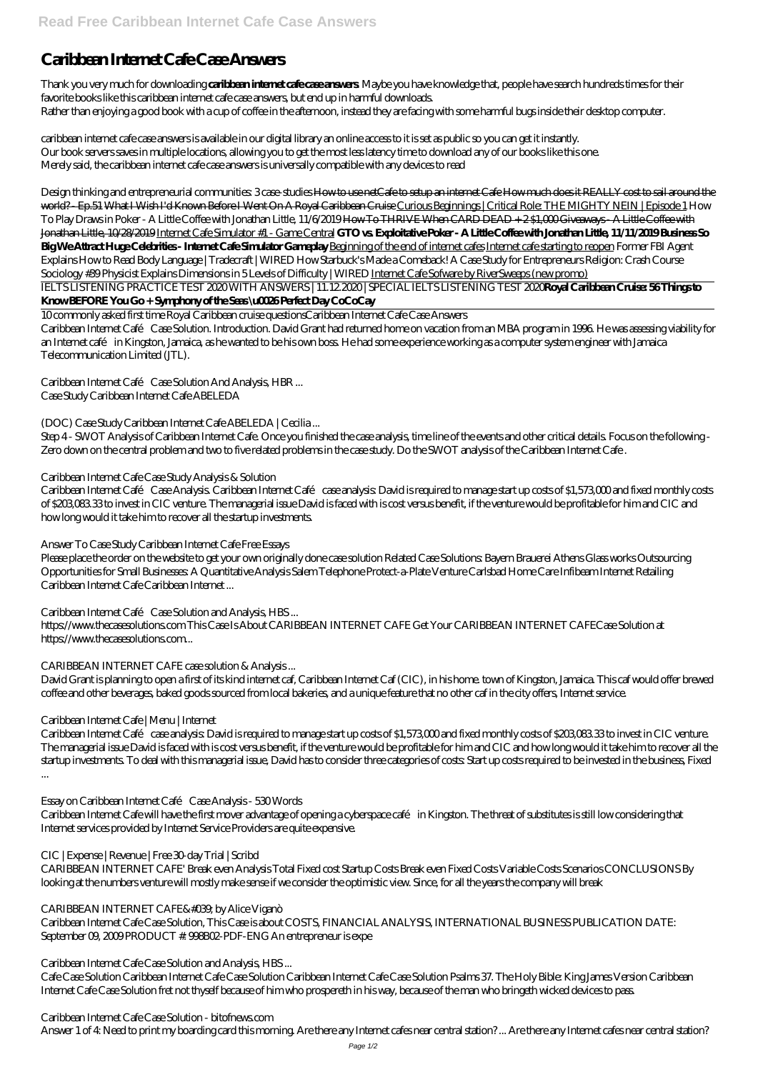# **Caribbean Internet Cafe Case Answers**

Thank you very much for downloading **caribbean internet cafe case answers**. Maybe you have knowledge that, people have search hundreds times for their favorite books like this caribbean internet cafe case answers, but end up in harmful downloads. Rather than enjoying a good book with a cup of coffee in the afternoon, instead they are facing with some harmful bugs inside their desktop computer.

caribbean internet cafe case answers is available in our digital library an online access to it is set as public so you can get it instantly. Our book servers saves in multiple locations, allowing you to get the most less latency time to download any of our books like this one. Merely said, the caribbean internet cafe case answers is universally compatible with any devices to read

*Design thinking and entrepreneurial communities: 3 case-studies* How to use netCafe to setup an internet Cafe How much does it REALLY cost to sail around the world? - Ep.51 What I Wish I'd Known Before I Went On A Royal Caribbean Cruise Curious Beginnings | Critical Role: THE MIGHTY NEIN | Episode 1 *How To Play Draws in Poker - A Little Coffee with Jonathan Little, 11/6/2019* How To THRIVE When CARD DEAD + 2 \$1,000 Giveaways - A Little Coffee with Jonathan Little, 10/28/2019 Internet Cafe Simulator #1 - Game Central **GTO vs. Exploitative Poker - A Little Coffee with Jonathan Little, 11/11/2019 Business So Big We Attract Huge Celebrities - Internet Cafe Simulator Gameplay** Beginning of the end of internet cafes Internet cafe starting to reopen *Former FBI Agent Explains How to Read Body Language | Tradecraft | WIRED How Starbuck's Made a Comeback! A Case Study for Entrepreneurs* Religion: Crash Course Sociology #39 Physicist Explains Dimensions in 5 Levels of Difficulty | WIRED Internet Cafe Sofware by RiverSweeps (new promo)

Caribbean Internet Café Case Analysis. Caribbean Internet Café case analysis. David is required to manage start up costs of \$1,573,000 and fixed monthly costs of \$203,083.33 to invest in CIC venture. The managerial issue David is faced with is cost versus benefit, if the venture would be profitable for him and CIC and how long would it take him to recover all the startup investments.

https://www.thecasesolutions.com This Case Is About CARIBBEAN INTERNET CAFE Get Your CARIBBEAN INTERNET CAFECase Solution at https://www.thecasesolutions.com...

IELTS LISTENING PRACTICE TEST 2020 WITH ANSWERS | 11.12.2020 | SPECIAL IELTS LISTENING TEST 2020**Royal Caribbean Cruise: 56 Things to Know BEFORE You Go + Symphony of the Seas \u0026 Perfect Day CoCoCay**

10 commonly asked first time Royal Caribbean cruise questions*Caribbean Internet Cafe Case Answers*

Caribbean Internet Café Case Solution. Introduction. David Grant had returned home on vacation from an MBA program in 1996. He was assessing viability for an Internet café in Kingston, Jamaica, as he wanted to be his own boss. He had some experience working as a computer system engineer with Jamaica Telecommunication Limited (JTL).

Caribbean Internet Café case analysis: David is required to manage start up costs of \$1,573,000 and fixed monthly costs of \$203,083.33 to invest in CIC venture. The managerial issue David is faced with is cost versus benefit, if the venture would be profitable for him and CIC and how long would it take him to recover all the startup investments. To deal with this managerial issue, David has to consider three categories of costs: Start up costs required to be invested in the business, Fixed

*Caribbean Internet Café Case Solution And Analysis, HBR ...*

Case Study Caribbean Internet Cafe ABELEDA

# *(DOC) Case Study Caribbean Internet Cafe ABELEDA | Cecilia ...*

Step 4 - SWOT Analysis of Caribbean Internet Cafe. Once you finished the case analysis, time line of the events and other critical details. Focus on the following - Zero down on the central problem and two to five related problems in the case study. Do the SWOT analysis of the Caribbean Internet Cafe .

# *Caribbean Internet Cafe Case Study Analysis & Solution*

# *Answer To Case Study Caribbean Internet Cafe Free Essays*

Please place the order on the website to get your own originally done case solution Related Case Solutions: Bayern Brauerei Athens Glass works Outsourcing Opportunities for Small Businesses: A Quantitative Analysis Salem Telephone Protect-a-Plate Venture Carlsbad Home Care Infibeam Internet Retailing Caribbean Internet Cafe Caribbean Internet ...

# *Caribbean Internet Café Case Solution and Analysis, HBS ...*

# *CARIBBEAN INTERNET CAFE case solution & Analysis ...*

David Grant is planning to open a first of its kind internet caf, Caribbean Internet Caf (CIC), in his home. town of Kingston, Jamaica. This caf would offer brewed coffee and other beverages, baked goods sourced from local bakeries, and a unique feature that no other caf in the city offers, Internet service.

# *Caribbean Internet Cafe | Menu | Internet*

...

### *Essay on Caribbean Internet Café Case Analysis - 530 Words*

Caribbean Internet Cafe will have the first mover advantage of opening a cyberspace café in Kingston. The threat of substitutes is still low considering that Internet services provided by Internet Service Providers are quite expensive.

## *CIC | Expense | Revenue | Free 30-day Trial | Scribd*

CARIBBEAN INTERNET CAFE' Break even Analysis Total Fixed cost Startup Costs Break even Fixed Costs Variable Costs Scenarios CONCLUSIONS By looking at the numbers venture will mostly make sense if we consider the optimistic view. Since, for all the years the company will break

#### *CARIBBEAN INTERNET CAFE' by Alice Viganò*

Caribbean Internet Cafe Case Solution, This Case is about COSTS, FINANCIAL ANALYSIS, INTERNATIONAL BUSINESS PUBLICATION DATE: September 09, 2009 PRODUCT #: 998B02-PDF-ENG An entrepreneur is expe

#### *Caribbean Internet Cafe Case Solution and Analysis, HBS ...*

Cafe Case Solution Caribbean Internet Cafe Case Solution Caribbean Internet Cafe Case Solution Psalms 37. The Holy Bible: King James Version Caribbean Internet Cafe Case Solution fret not thyself because of him who prospereth in his way, because of the man who bringeth wicked devices to pass.

*Caribbean Internet Cafe Case Solution - bitofnews.com*

Answer 1 of 4: Need to print my boarding card this morning. Are there any Internet cafes near central station? ... Are there any Internet cafes near central station?